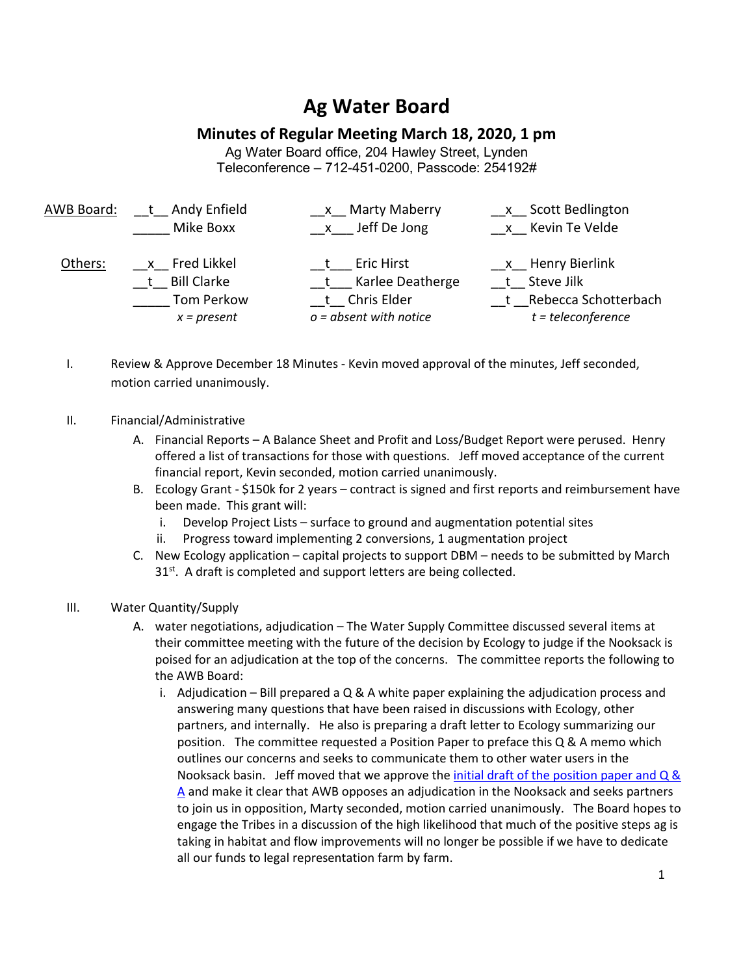## **Ag Water Board**

## **Minutes of Regular Meeting March 18, 2020, 1 pm**

Ag Water Board office, 204 Hawley Street, Lynden Teleconference – 712-451-0200, Passcode: 254192#

| AWB Board: | Andy Enfield<br>Mike Boxx           | <b>Marty Maberry</b><br>x Jeff De Jong         | Scott Bedlington<br>x Kevin Te Velde         |
|------------|-------------------------------------|------------------------------------------------|----------------------------------------------|
| Others:    | x Fred Likkel<br><b>Bill Clarke</b> | <b>Eric Hirst</b><br>Karlee Deatherge          | <b>Henry Bierlink</b><br>Steve Jilk          |
|            | Tom Perkow<br>$x = present$         | <b>Chris Elder</b><br>$o = absent$ with notice | Rebecca Schotterbach<br>$t = teleconference$ |

- I. Review & Approve December 18 Minutes Kevin moved approval of the minutes, Jeff seconded, motion carried unanimously.
- II. Financial/Administrative
	- A. Financial Reports A Balance Sheet and Profit and Loss/Budget Report were perused. Henry offered a list of transactions for those with questions. Jeff moved acceptance of the current financial report, Kevin seconded, motion carried unanimously.
	- B. Ecology Grant \$150k for 2 years contract is signed and first reports and reimbursement have been made. This grant will:
		- i. Develop Project Lists surface to ground and augmentation potential sites
		- ii. Progress toward implementing 2 conversions, 1 augmentation project
	- C. New Ecology application capital projects to support DBM needs to be submitted by March 31<sup>st</sup>. A draft is completed and support letters are being collected.

## III. Water Quantity/Supply

- A. water negotiations, adjudication The Water Supply Committee discussed several items at their committee meeting with the future of the decision by Ecology to judge if the Nooksack is poised for an adjudication at the top of the concerns. The committee reports the following to the AWB Board:
	- i. Adjudication Bill prepared a  $Q \& A$  white paper explaining the adjudication process and answering many questions that have been raised in discussions with Ecology, other partners, and internally. He also is preparing a draft letter to Ecology summarizing our position. The committee requested a Position Paper to preface this Q & A memo which outlines our concerns and seeks to communicate them to other water users in the Nooksack basin. Jeff moved that we approve the initial draft of the position paper and  $Q \&$ A and make it clear that AWB opposes an adjudication in the Nooksack and seeks partners to join us in opposition, Marty seconded, motion carried unanimously. The Board hopes to engage the Tribes in a discussion of the high likelihood that much of the positive steps ag is taking in habitat and flow improvements will no longer be possible if we have to dedicate all our funds to legal representation farm by farm.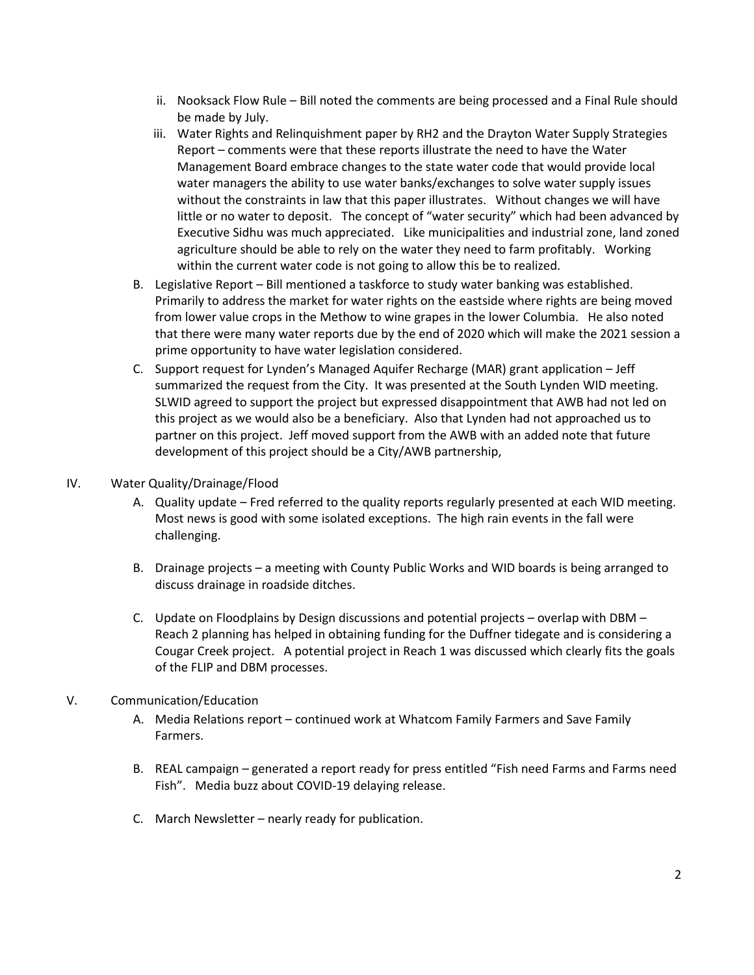- ii. Nooksack Flow Rule Bill noted the comments are being processed and a Final Rule should be made by July.
- iii. Water Rights and Relinquishment paper by RH2 and the Drayton Water Supply Strategies Report – comments were that these reports illustrate the need to have the Water Management Board embrace changes to the state water code that would provide local water managers the ability to use water banks/exchanges to solve water supply issues without the constraints in law that this paper illustrates. Without changes we will have little or no water to deposit. The concept of "water security" which had been advanced by Executive Sidhu was much appreciated. Like municipalities and industrial zone, land zoned agriculture should be able to rely on the water they need to farm profitably. Working within the current water code is not going to allow this be to realized.
- B. Legislative Report Bill mentioned a taskforce to study water banking was established. Primarily to address the market for water rights on the eastside where rights are being moved from lower value crops in the Methow to wine grapes in the lower Columbia. He also noted that there were many water reports due by the end of 2020 which will make the 2021 session a prime opportunity to have water legislation considered.
- C. Support request for Lynden's Managed Aquifer Recharge (MAR) grant application Jeff summarized the request from the City. It was presented at the South Lynden WID meeting. SLWID agreed to support the project but expressed disappointment that AWB had not led on this project as we would also be a beneficiary. Also that Lynden had not approached us to partner on this project. Jeff moved support from the AWB with an added note that future development of this project should be a City/AWB partnership,
- IV. Water Quality/Drainage/Flood
	- A. Quality update Fred referred to the quality reports regularly presented at each WID meeting. Most news is good with some isolated exceptions. The high rain events in the fall were challenging.
	- B. Drainage projects a meeting with County Public Works and WID boards is being arranged to discuss drainage in roadside ditches.
	- C. Update on Floodplains by Design discussions and potential projects overlap with DBM Reach 2 planning has helped in obtaining funding for the Duffner tidegate and is considering a Cougar Creek project. A potential project in Reach 1 was discussed which clearly fits the goals of the FLIP and DBM processes.

## V. Communication/Education

- A. Media Relations report continued work at Whatcom Family Farmers and Save Family Farmers.
- B. REAL campaign generated a report ready for press entitled "Fish need Farms and Farms need Fish". Media buzz about COVID-19 delaying release.
- C. March Newsletter nearly ready for publication.